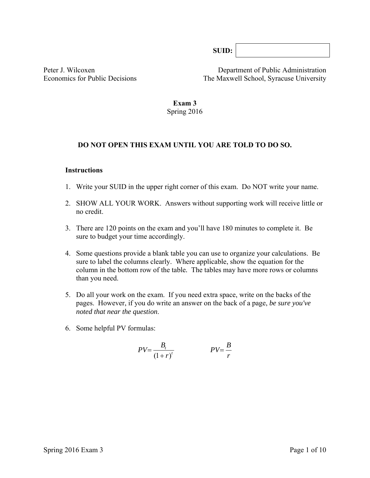**SUID:**

Peter J. Wilcoxen Department of Public Administration Economics for Public Decisions The Maxwell School, Syracuse University

> **Exam 3**  Spring 2016

#### **DO NOT OPEN THIS EXAM UNTIL YOU ARE TOLD TO DO SO.**

#### **Instructions**

- 1. Write your SUID in the upper right corner of this exam. Do NOT write your name.
- 2. SHOW ALL YOUR WORK. Answers without supporting work will receive little or no credit.
- 3. There are 120 points on the exam and you'll have 180 minutes to complete it. Be sure to budget your time accordingly.
- 4. Some questions provide a blank table you can use to organize your calculations. Be sure to label the columns clearly. Where applicable, show the equation for the column in the bottom row of the table*.* The tables may have more rows or columns than you need.
- 5. Do all your work on the exam. If you need extra space, write on the backs of the pages. However, if you do write an answer on the back of a page, *be sure you've noted that near the question*.
- 6. Some helpful PV formulas:

$$
PV = \frac{B_t}{(1+r)^t}
$$
 
$$
PV = \frac{B}{r}
$$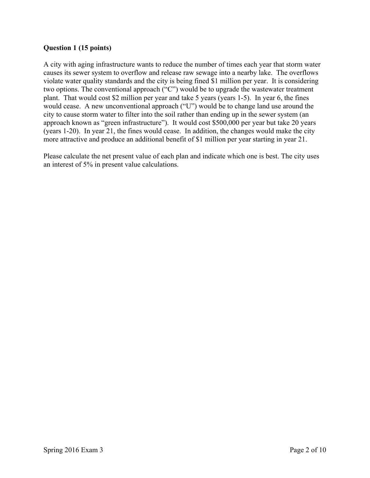## **Question 1 (15 points)**

A city with aging infrastructure wants to reduce the number of times each year that storm water causes its sewer system to overflow and release raw sewage into a nearby lake. The overflows violate water quality standards and the city is being fined \$1 million per year. It is considering two options. The conventional approach ("C") would be to upgrade the wastewater treatment plant. That would cost \$2 million per year and take 5 years (years 1-5). In year 6, the fines would cease. A new unconventional approach ("U") would be to change land use around the city to cause storm water to filter into the soil rather than ending up in the sewer system (an approach known as "green infrastructure"). It would cost \$500,000 per year but take 20 years (years 1-20). In year 21, the fines would cease. In addition, the changes would make the city more attractive and produce an additional benefit of \$1 million per year starting in year 21.

Please calculate the net present value of each plan and indicate which one is best. The city uses an interest of 5% in present value calculations.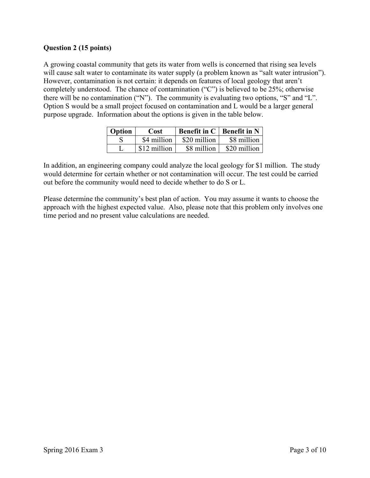# **Question 2 (15 points)**

A growing coastal community that gets its water from wells is concerned that rising sea levels will cause salt water to contaminate its water supply (a problem known as "salt water intrusion"). However, contamination is not certain: it depends on features of local geology that aren't completely understood. The chance of contamination ("C") is believed to be 25%; otherwise there will be no contamination ("N"). The community is evaluating two options, "S" and "L". Option S would be a small project focused on contamination and L would be a larger general purpose upgrade. Information about the options is given in the table below.

| <b>Option</b> | Cost         |              | Benefit in $C \mid$ Benefit in N |
|---------------|--------------|--------------|----------------------------------|
|               | \$4 million  | \$20 million | \$8 million                      |
|               | \$12 million | \$8 million  | \$20 million                     |

In addition, an engineering company could analyze the local geology for \$1 million. The study would determine for certain whether or not contamination will occur. The test could be carried out before the community would need to decide whether to do S or L.

Please determine the community's best plan of action. You may assume it wants to choose the approach with the highest expected value. Also, please note that this problem only involves one time period and no present value calculations are needed.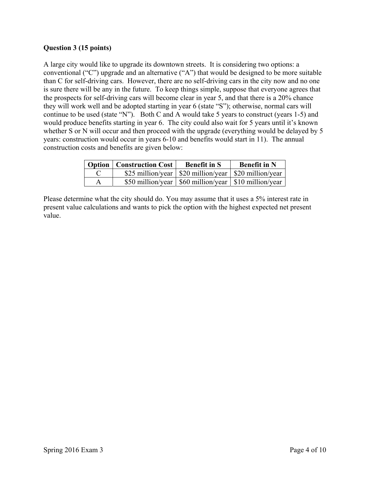## **Question 3 (15 points)**

A large city would like to upgrade its downtown streets. It is considering two options: a conventional ("C") upgrade and an alternative ("A") that would be designed to be more suitable than C for self-driving cars. However, there are no self-driving cars in the city now and no one is sure there will be any in the future. To keep things simple, suppose that everyone agrees that the prospects for self-driving cars will become clear in year 5, and that there is a 20% chance they will work well and be adopted starting in year 6 (state "S"); otherwise, normal cars will continue to be used (state "N"). Both C and A would take 5 years to construct (years 1-5) and would produce benefits starting in year 6. The city could also wait for 5 years until it's known whether S or N will occur and then proceed with the upgrade (everything would be delayed by 5 years: construction would occur in years 6-10 and benefits would start in 11). The annual construction costs and benefits are given below:

| Option   Construction Cost | <b>Benefit in S</b>                                       | <b>Benefit in N</b> |
|----------------------------|-----------------------------------------------------------|---------------------|
|                            | \$25 million/year   \$20 million/year   \$20 million/year |                     |
|                            | \$50 million/year   \$60 million/year   \$10 million/year |                     |

Please determine what the city should do. You may assume that it uses a 5% interest rate in present value calculations and wants to pick the option with the highest expected net present value.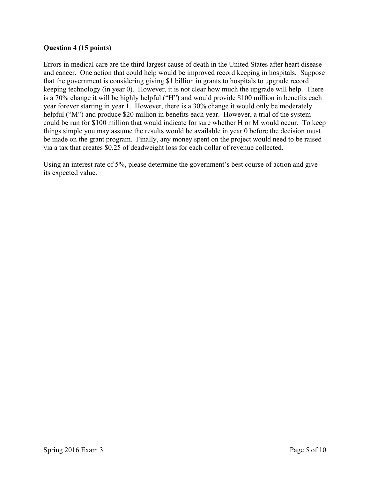## **Question 4 (15 points)**

Errors in medical care are the third largest cause of death in the United States after heart disease and cancer. One action that could help would be improved record keeping in hospitals. Suppose that the government is considering giving \$1 billion in grants to hospitals to upgrade record keeping technology (in year 0). However, it is not clear how much the upgrade will help. There is a 70% change it will be highly helpful ("H") and would provide \$100 million in benefits each year forever starting in year 1. However, there is a 30% change it would only be moderately helpful ("M") and produce \$20 million in benefits each year. However, a trial of the system could be run for \$100 million that would indicate for sure whether H or M would occur. To keep things simple you may assume the results would be available in year 0 before the decision must be made on the grant program. Finally, any money spent on the project would need to be raised via a tax that creates \$0.25 of deadweight loss for each dollar of revenue collected.

Using an interest rate of 5%, please determine the government's best course of action and give its expected value.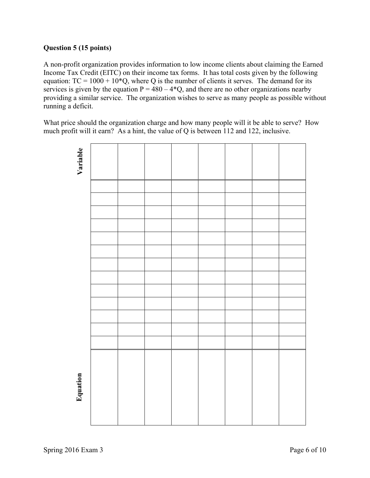## **Question 5 (15 points)**

A non-profit organization provides information to low income clients about claiming the Earned Income Tax Credit (EITC) on their income tax forms. It has total costs given by the following equation:  $TC = 1000 + 10*Q$ , where Q is the number of clients it serves. The demand for its services is given by the equation  $P = 480 - 4*Q$ , and there are no other organizations nearby providing a similar service. The organization wishes to serve as many people as possible without running a deficit.

What price should the organization charge and how many people will it be able to serve? How much profit will it earn? As a hint, the value of Q is between 112 and 122, inclusive.

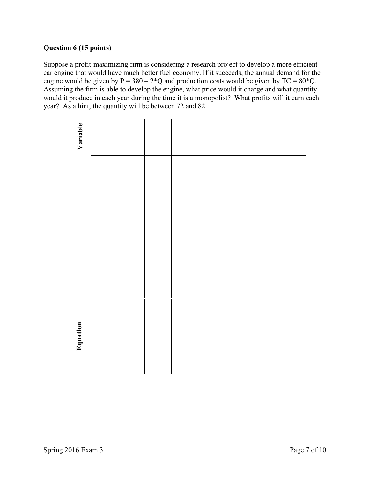# **Question 6 (15 points)**

Suppose a profit-maximizing firm is considering a research project to develop a more efficient car engine that would have much better fuel economy. If it succeeds, the annual demand for the engine would be given by  $P = 380 - 2*Q$  and production costs would be given by  $TC = 80*Q$ . Assuming the firm is able to develop the engine, what price would it charge and what quantity would it produce in each year during the time it is a monopolist? What profits will it earn each year? As a hint, the quantity will be between 72 and 82.

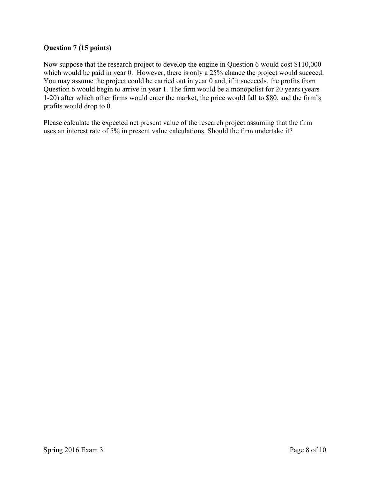## **Question 7 (15 points)**

Now suppose that the research project to develop the engine in Question 6 would cost \$110,000 which would be paid in year 0. However, there is only a 25% chance the project would succeed. You may assume the project could be carried out in year 0 and, if it succeeds, the profits from Question 6 would begin to arrive in year 1. The firm would be a monopolist for 20 years (years 1-20) after which other firms would enter the market, the price would fall to \$80, and the firm's profits would drop to 0.

Please calculate the expected net present value of the research project assuming that the firm uses an interest rate of 5% in present value calculations. Should the firm undertake it?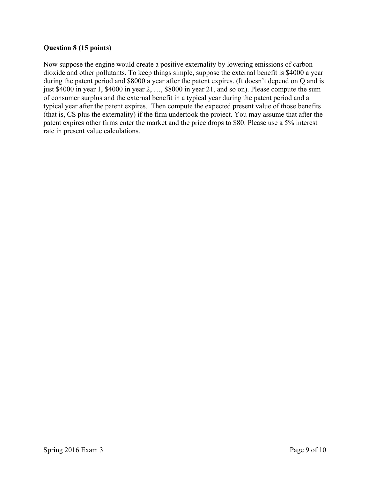## **Question 8 (15 points)**

Now suppose the engine would create a positive externality by lowering emissions of carbon dioxide and other pollutants. To keep things simple, suppose the external benefit is \$4000 a year during the patent period and \$8000 a year after the patent expires. (It doesn't depend on Q and is just \$4000 in year 1, \$4000 in year 2, …, \$8000 in year 21, and so on). Please compute the sum of consumer surplus and the external benefit in a typical year during the patent period and a typical year after the patent expires. Then compute the expected present value of those benefits (that is, CS plus the externality) if the firm undertook the project. You may assume that after the patent expires other firms enter the market and the price drops to \$80. Please use a 5% interest rate in present value calculations.